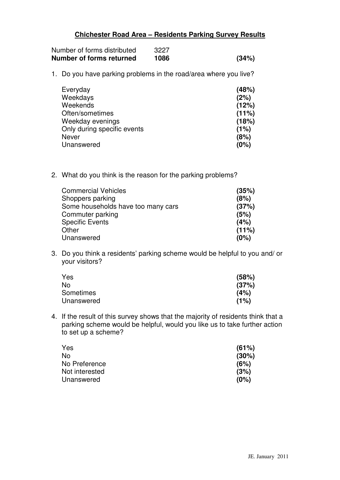## **Chichester Road Area – Residents Parking Survey Results**

| Number of forms distributed | 3227 |       |
|-----------------------------|------|-------|
| Number of forms returned    | 1086 | (34%) |

1. Do you have parking problems in the road/area where you live?

| (48%) |
|-------|
| (2%)  |
| (12%) |
| (11%) |
| (18%) |
| (1%)  |
| (8%)  |
| (0%)  |
|       |

2. What do you think is the reason for the parking problems?

| (35%) |
|-------|
| (8%)  |
| (37%) |
| (5%)  |
| (4%)  |
| (11%) |
| (0%)  |
|       |

3. Do you think a residents' parking scheme would be helpful to you and/ or your visitors?

| Yes        | (58%) |
|------------|-------|
| No         | (37%) |
| Sometimes  | (4%)  |
| Unanswered | (1%)  |

4. If the result of this survey shows that the majority of residents think that a parking scheme would be helpful, would you like us to take further action to set up a scheme?

| Yes            | (61%) |
|----------------|-------|
| No             | (30%) |
| No Preference  | (6%)  |
| Not interested | (3%)  |
| Unanswered     | (0%)  |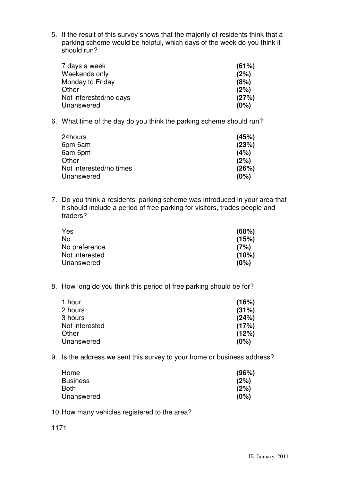5. If the result of this survey shows that the majority of residents think that a parking scheme would be helpful, which days of the week do you think it should run?

| 7 days a week          | (61%) |
|------------------------|-------|
| Weekends only          | (2%)  |
| Monday to Friday       | (8%)  |
| Other                  | (2%)  |
| Not interested/no days | (27%) |
| Unanswered             | (0%)  |

6. What time of the day do you think the parking scheme should run?

| 24hours                 | (45%) |
|-------------------------|-------|
| 6pm-6am                 | (23%) |
| 6am-6pm                 | (4%)  |
| Other                   | (2%)  |
| Not interested/no times | (26%) |
| Unanswered              | (0%)  |
|                         |       |

7. Do you think a residents' parking scheme was introduced in your area that it should include a period of free parking for visitors, trades people and traders?

| Yes            | (68%) |
|----------------|-------|
| No             | (15%) |
| No preference  | (7%)  |
| Not interested | (10%) |
| Unanswered     | (0%)  |
|                |       |

8. How long do you think this period of free parking should be for?

| (16%) |
|-------|
| (31%) |
| (24%) |
| (17%) |
| (12%) |
| (0%)  |
|       |

9. Is the address we sent this survey to your home or business address?

| Home            | (96%) |
|-----------------|-------|
| <b>Business</b> | (2%)  |
| Both            | (2%)  |
| Unanswered      | (0%)  |
|                 |       |

10.How many vehicles registered to the area?

1171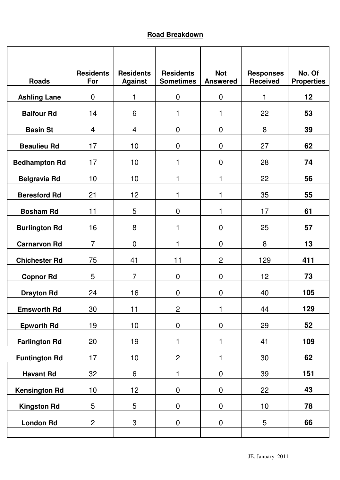## **Road Breakdown**

| <b>Roads</b>         | <b>Residents</b><br>For | <b>Residents</b><br><b>Against</b> | <b>Residents</b><br><b>Sometimes</b> | <b>Not</b><br><b>Answered</b> | <b>Responses</b><br><b>Received</b> | No. Of<br><b>Properties</b> |
|----------------------|-------------------------|------------------------------------|--------------------------------------|-------------------------------|-------------------------------------|-----------------------------|
| <b>Ashling Lane</b>  | $\mathbf 0$             | 1                                  | $\mathbf 0$                          | $\mathbf 0$                   | 1                                   | 12                          |
| <b>Balfour Rd</b>    | 14                      | 6                                  | 1                                    | 1                             | 22                                  | 53                          |
| <b>Basin St</b>      | 4                       | $\overline{4}$                     | $\mathbf 0$                          | $\mathbf 0$                   | 8                                   | 39                          |
| <b>Beaulieu Rd</b>   | 17                      | 10                                 | 0                                    | $\overline{0}$                | 27                                  | 62                          |
| <b>Bedhampton Rd</b> | 17                      | 10                                 | 1                                    | $\mathbf 0$                   | 28                                  | 74                          |
| <b>Belgravia Rd</b>  | 10                      | 10                                 | 1                                    | 1                             | 22                                  | 56                          |
| <b>Beresford Rd</b>  | 21                      | 12                                 |                                      | 1                             | 35                                  | 55                          |
| <b>Bosham Rd</b>     | 11                      | 5                                  | 0                                    | 1                             | 17                                  | 61                          |
| <b>Burlington Rd</b> | 16                      | 8                                  | 1                                    | $\mathbf 0$                   | 25                                  | 57                          |
| <b>Carnarvon Rd</b>  | $\overline{7}$          | $\mathbf 0$                        | 1                                    | $\mathbf 0$                   | 8                                   | 13                          |
| <b>Chichester Rd</b> | 75                      | 41                                 | 11                                   | $\overline{2}$                | 129                                 | 411                         |
| <b>Copnor Rd</b>     | 5                       | $\overline{7}$                     | 0                                    | $\mathbf 0$                   | 12                                  | 73                          |
| <b>Drayton Rd</b>    | 24                      | 16                                 | 0                                    | 0                             | 40                                  | 105                         |
| <b>Emsworth Rd</b>   | 30                      | 11                                 | $\mathbf{2}$                         | 1                             | 44                                  | 129                         |
| <b>Epworth Rd</b>    | 19                      | 10                                 | $\pmb{0}$                            | $\pmb{0}$                     | 29                                  | 52                          |
| <b>Farlington Rd</b> | 20                      | 19                                 | 1                                    | $\mathbf{1}$                  | 41                                  | 109                         |
| <b>Funtington Rd</b> | 17                      | 10                                 | $\overline{c}$                       | 1                             | 30                                  | 62                          |
| <b>Havant Rd</b>     | 32                      | $6\,$                              | 1                                    | $\pmb{0}$                     | 39                                  | 151                         |
| <b>Kensington Rd</b> | 10                      | 12                                 | $\pmb{0}$                            | $\pmb{0}$                     | 22                                  | 43                          |
| <b>Kingston Rd</b>   | 5                       | 5                                  | $\pmb{0}$                            | $\boldsymbol{0}$              | 10                                  | 78                          |
| <b>London Rd</b>     | $\overline{c}$          | 3                                  | $\pmb{0}$                            | $\pmb{0}$                     | 5                                   | 66                          |
|                      |                         |                                    |                                      |                               |                                     |                             |